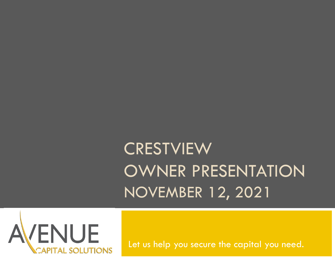## **CRESTVIEW** OWNER PRESENTATION CRESTVIEW<br>OWNER PRESENTATION<br>NOVEMBER 12, 2021



Let us help you secure the capital you need.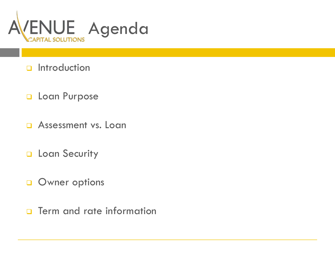

- **D** Introduction
- **Q** Loan Purpose
- **Q** Assessment vs. Loan
- **Q** Loan Security
- **Q** Owner options
- **D** Term and rate information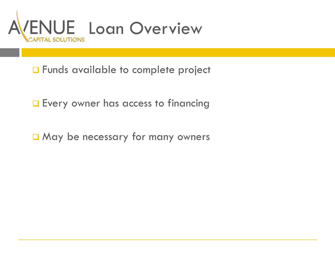

**D** Funds available to complete project

**Every owner has access to financing** 

May be necessary for many owners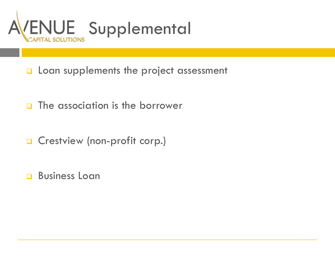

- **Loan supplements the project assessment**
- **D** The association is the borrower
- **Q** Crestview (non-profit corp.)
- **Business Loan**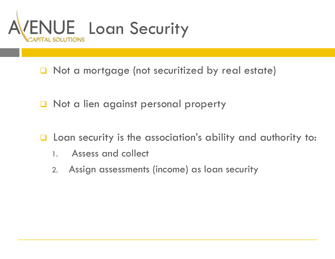

- □ Not a mortgage (not securitized by real estate)
- **Q** Not a lien against personal property
- $\Box$  Loan security is the association's ability and authority to:
	- 1. Assess and collect
	- 2. Assign assessments (income) as loan security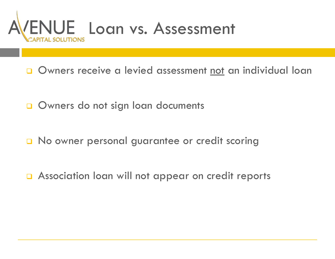

Owners do not sign loan documents

No owner personal guarantee or credit scoring

**a** Association loan will not appear on credit reports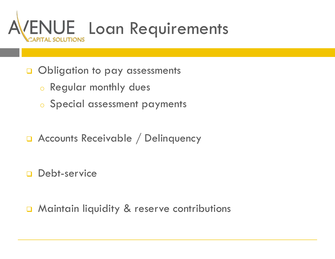

**Obligation to pay assessments** 

- <sup>o</sup> Regular monthly dues
- <sup>o</sup> Special assessment payments
- **Q** Accounts Receivable / Delinquency

**Debt-service** 

**D** Maintain liquidity & reserve contributions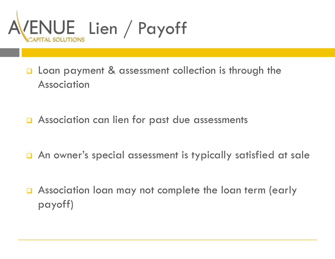

- **Q** Loan payment & assessment collection is through the Association
- □ Association can lien for past due assessments
- An owner's special assessment is typically satisfied at sale
- **Q** Association loan may not complete the loan term (early payoff)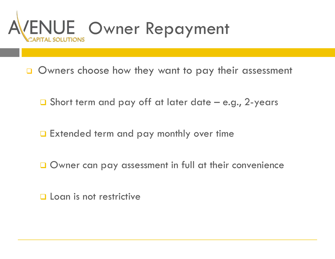

**O** Owners choose how they want to pay their assessment

- 
- **Extended term and pay monthly over time**
- Owner can pay assessment in full at their convenience
- **Q** Loan is not restrictive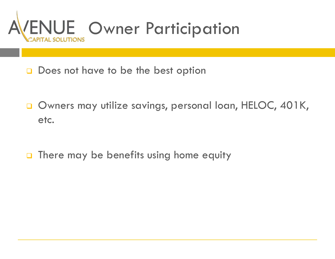

- Does not have to be the best option
- Owners may utilize savings, personal loan, HELOC, 401K, etc.
- **D** There may be benefits using home equity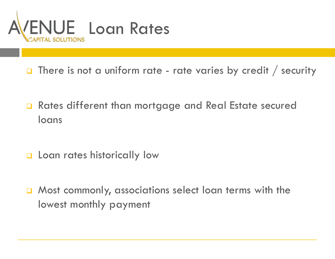

- 
- **Q** Rates different than mortgage and Real Estate secured loans
- **Q** Loan rates historically low
- **Q** Most commonly, associations select loan terms with the lowest monthly payment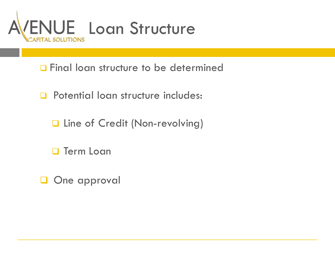

**D** Final loan structure to be determined

- **Q** Potential loan structure includes:
	- **Q** Line of Credit (Non-revolving)
	- **D** Term Loan
- **Q** One approval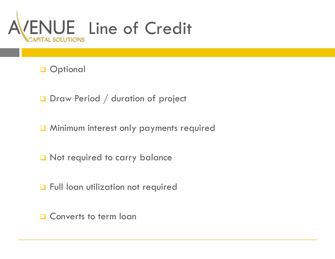

**Q** Optional

Draw Period / duration of project

**Q** Minimum interest only payments required

Not required to carry balance

**Q** Full loan utilization not required

**Q** Converts to term loan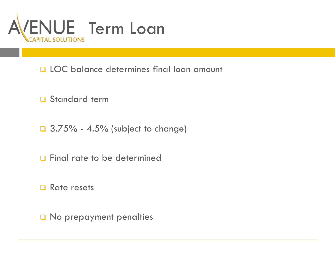

- **Q LOC balance determines final loan amount**
- **D** Standard term
- 
- **Q** Final rate to be determined
- □ Rate resets
- O No prepayment penalties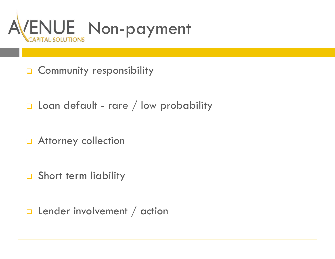

- **Q** Community responsibility
- 
- **Q** Attorney collection
- Short term liability
- **Q** Lender involvement / action